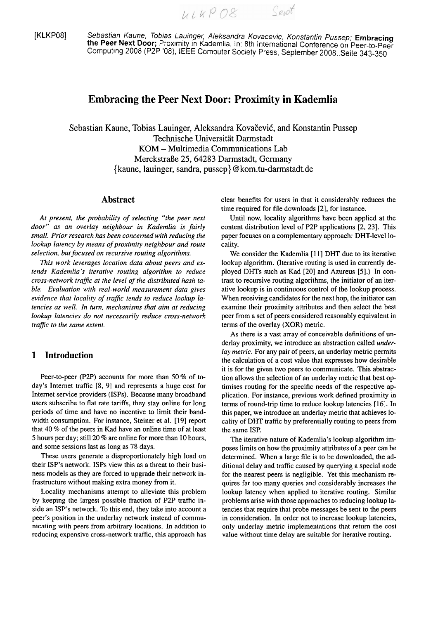[KLKP08] Sebastian Kaune. Tobias Lauinger, Aleksandra Kovacevic, Konstantin Pussep; **Ernbracing the Peer Next Door;** Proximity in Kademlia. In: 8th International Conference on Peer-to-Peer Computing 2008 (P2P '08), IEEE Computer Society Press, September 2006..Seite 343-350

Sevot

# **Embracing the Peer Next Door: Proximity in Kademlia**

 $UUXPO8$ 

Sebastian Kaune, Tobias Lauinger, Aleksandra Kovačević, and Konstantin Pussep Technische Universität Darmstadt KOM - Multimedia Communications Lab Merckstraße 25,64283 Darmstadt, Germany {kaune, lauinger, sandra, pussep} @kom.tu-darmstadt.de

## **Abstract**

At present, the probability of selecting "the peer next *door" as an overlay neighbour in Kademlia is fairly small. Prior research has been concerned with reducing the lookup latency by means of proximity neighbour and route selection, but focused on recursive routing algorithms.* 

*This work leverages location data about peers und extends Kademlia's iterative routing algorithm to reduce*  cross-network traffic at the level of the distributed hash ta*ble. Evaluation with real-world measurement data gives*  evidence that locality of traffic tends to reduce lookup la*tencies* **as** *well. In turn, mechanisms that aim ut reducing lookup latencies do not necessarily reduce cross-network trafJic to the same extent.* 

## **1 Introduction**

Peer-to-peer (P2P) accounts for more than 50% of today's Internet traffic **[8,** 91 and represents a huge cost for Internet service providers *(ISPs)*. Because many broadband users subscribe to fiat rate tariffs, they stay online for long periods of time and have no incentive to limit their bandwidth consumption. For instance, Steiner et al. [19] report that 40 % of the peers in Kad have an online time of at least 5 hours per day; still 20 % are online for more than 10 hours, and some sessions last as long as 78 days.

These users generate a disproportionately high load on their ISP's network. ISPs view this as a threat to their business models as they are forced to upgrade their network **in**frastructure without making extra money from it.

Locality mechanisms attempt to alleviate this problem by keeping the largest possible fraction of P2P traffic inside an ISP's network. To this end, they take into account a peer's position in the underlay network instead of communicating with peers from arbitrary locations. In addition to reducing expensive cross-network traffic, this approach has clear benefits for users in that it considerably reduces the time required for file downloads [2], for instance.

Until now, locality algorithms have been applied at the content distribution level of P2P applications [2, 23]. This paper focuses on a complementary approach: DHT-level locality.

We consider the Kademlia **[l** 11 DHT due to its iterative lookup algorithm. (Iterative routing is used in currently deployed DHTs such as Kad [20] and Azureus [5].) In contrast to recursive routing algorithms, the initiator of an iterative lookup is in continuous control of the lookup process. When receiving candidates for the next hop, the initiator can examine their proximity attributes and then select the best peer from a set of peers considered reasonably equivalent in terms of the overlay (XOR) metric.

As there is a vast array of conceivable definitions of underlay proximity, we introduce an abstraction called *underlay metric.* For any pair of peers, an underlay metric permits the calculation of a cost value that expresses how desirable it is for the given two peers to communicate. This abstraction allows the selection of an underlay metric that best optimises routing for the specific needs of the respective application. For instance, previous work defined proximity in terms of round-trip time to reduce lookup latencies **[16].** In this paper, we introduce an underlay metric that achieves locality of DHT traffic by preferentially routing to peers from the Same ISP.

The iterative nature of Kademlia's lookup algorithm imposes limits on how the proximity attributes of a peer can be determined. When a large file is to be downloaded, the additional delay and traffic caused by querying a spccial node for the nearest peers is negligible. Yet this mechanism requires far too many queries and considerably increases the lookup latency when applied to iterative routing. Similar problems arise with those approaches to reducing lookup latencies that require that probe messages be sent to the peers in consideration. In order not to increase lookup latencies, only underlay metric implementations that return the cost value without time delay are suitable for iterative routing.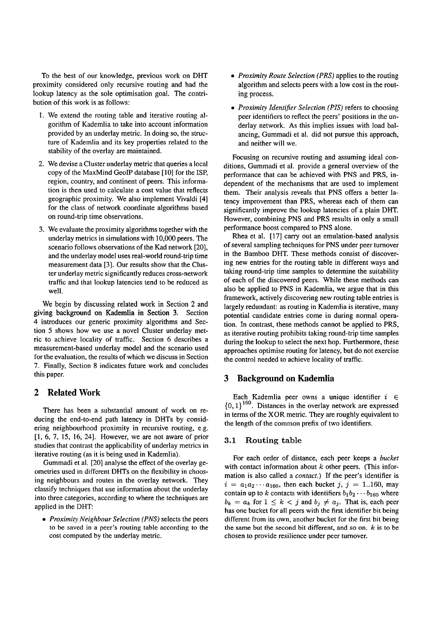To the best of our knowledge, previous work on DHT proximity considered only recursive routing and had the lookup latency as the sole optimisation goal. The contribution of this work is as follows:

- 1. We extend the routing table and iterative routing algorithm of Kademlia to take into account information provided by an underlay metric. In doing so, the structure of Kademlia and its key properties related to the stability of the overlay are maintained.
- 2. We devise a Cluster underlay metric that queries a local copy of the MaxMind GeoIP database *[I01* for the ISP, region, country, and continent of peers. This information is then used to calculate a cost value that reflects geographic proximity. We also implement Vivaldi *[4]*  for the class of network coordinate algorithms based on round-trip time observations.
- *3.* We evaluate the proximity algorithms together with the underlay metrics in simulations with *10,000* peers. The scenario follows observations of the Kad network *[20],*  and the underlay model uses real-world round-trip time measurement data *[3].* Our results show that the Cluster underlay metric significantly reduces cross-network traffic and that lookup latencies tend to be reduced as well.

We begin by discussing related work in Section 2 and giving background on Kademlia in Section *3.* Section 4 introduces our generic proximity algorithms and Section 5 shows how we use a novel Cluster underlay metric to achieve locality of traffic. Section 6 describes a measurement-based underlay model and the scenario used for the evaluation, the results of which we discuss in Section 7. Finally, Section 8 indicates future work and concludes this paper.

## **2 Related Work**

There has been a substantial amount of work on reducing the end-to-end path latency in DHTs by considering neighbourhood proximity in recursive routing, e.g. [l, 6, 7, 15, 16, *241.* However, we are not aware of prior studies that contrast the applicability of underlay metrics in iterative routing (as it is being used in Kademlia).

Gummadi et al. *[20]* analyse the effect of the overlay geometries used in different DHTs on the flexibility in choosing neighbours and routes in the overlay network. They classify techniques that use information about the underlay into three categories, according to where the techniques are applied in the DHT:

*Proxirniry Neighbour Selection (PNS)* selects the peers to be saved in a peer's routing table according to **the**  cost computed by the underlay metric.

- *Proximity Route Selection (PRS)* applies to the routing algorithm and selects peers with a low cost in the routing process.
- *Proximity Identifier Selection (PIS)* refers to choosing peer identifiers to reflect the peers' positions in the underlay network. As this implies issues with load balancing, Gummadi et al. did not pursue this approach, and neither will we.

Focusing on recursive routing and assuming ideal conditions, Gummadi et al. provide a general overview of the performance that can be achieved with PNS and PRS, independent of the mechanisms that are used to implement them. Their analysis reveals that PNS offers a better latency improvement than PRS, whereas each of them can significantly improve the lookup latencies of a plain **DHT.**  However, combining PNS and PRS results in only a small performance boost compared to PNS alone.

Rhea et al. [17] carry out an emulation-based analysis of several sampling techniques for PNS under peer turnover in the Bamboo DHT. These methods consist of discovering new entries for the routing table in different ways and taking round-trip time samples to deterrnine the suitability of each of the discovered peers. While these methods can also be applied to PNS in Kademlia, we argue that in this framework, actively discovering new routing table entries is largely redundant: as routing in Kademlia is iterative, many potential candidate entries come in dwing normal operation. In contrast, these methods cannot be applied to PRS, as iterative routing prohibits taking round-trip time samples during the lookup to select the next hop. Furthermore, these approaches optimise routing for latency, but do not exercise the control needed to achieve locality of traffic.

## **3 Background on Kademlia**

Each Kademlia peer owns a unique identifier  $i \in$ *(0, 1}160.* Distances in the overlay network are expressed in terms of the XOR metric. They are roughly equivalent to the length of the common prefix of two identifiers.

#### **3.1 Routing table**

For each order of distance, each peer keeps a *bucket* with contact information about  $k$  other peers. (This information is also called a *contact.)* If the peer's identifier is  $i = a_1 a_2 \cdots a_{160}$ , then each bucket j,  $j = 1..160$ , may contain up to k contacts with identifiers  $b_1b_2 \cdots b_{160}$  where  $b_k = a_k$  for  $1 \leq k < j$  and  $b_j \neq a_j$ . That is, each peer has one bucket for all peers with the first identifier bit being different from its own, another bucket for the first bit being the same but the second bit different, and so on.  $k$  is to be chosen to provide resilience under peer turnover.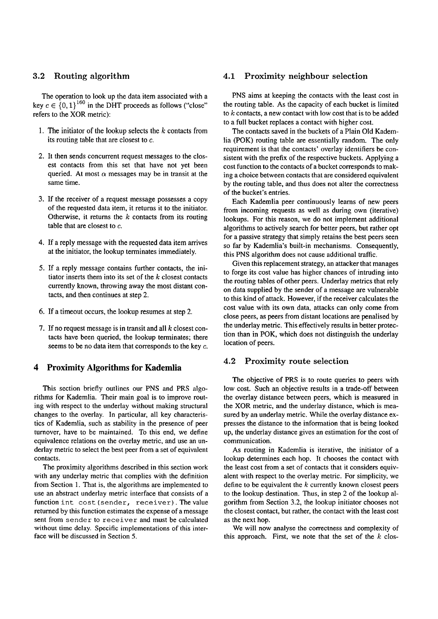The operation to look up the data item associated with a key  $c \in \{0, 1\}^{160}$  in the DHT proceeds as follows ("close" refers to the XOR metric):

- 1. The initiator of the lookup selects the  $k$  contacts from its routing table that are closest to **C.**
- 2. It then sends concurrent request messages to the closest contacts from this set that have not yet been queried. At most  $\alpha$  messages may be in transit at the same time.
- **3.** If the receiver of a request message possesses a copy of the requested data item, it returns it to the initiator. Otherwise, it returns the  $k$  contacts from its routing table that are closest to **C.**
- 4. If a reply message with the requested data item arrives at the initiator, the lookup terminates immediately.
- 5. If a reply message contains further contacts, the initiator inserts them into its set of the  $k$  closest contacts currently known, throwing away the most distant contacts, and then continues at step 2.
- 6. If a timeout occurs, the lookup resumes at step 2.
- 7. If no request message is in transit and all  $k$  closest contacts have been queried, the lookup terminates; there seems to be no data item that corresponds to the key **C.**

## **4 Proximity Algorithms for Kademlia**

This section briefly outlines our PNS and PRS algorithms for Kademlia. Their main goal is to improve routing with respect to the underlay without making structural changes to the overlay. In particular, all key characteristics of Kademlia, such as stability in the presence of peer turnover, have to be maintained. To this end, we define equivalence relations on the overlay metric, and use an underlay metric to select the best peer from a set of equivalent contacts.

The proximity algorithms described in this section work with any underlay metric that complies with the definition from Section 1. That is, the algorithms are implemented to use an abstract underlay metric interface that consists of a function int cost (sender, receiver) . The value retumed by this function estimates the expense of a message sent from sender to receiver and must be calculated without time delay. Specific implementations of this interface will be discussed in Section 5.

## 3.2 Routing algorithm 4.1 Proximity neighbour selection

PNS aims at keeping the contacts with the least cost in the routing table. As the capacity of each bucket is limited to k contacts, a new contact with low cost that is to be added to a full bucket replaces a contact with higher cost.

The contacts saved in the buckets of a Plain Old Kademlia (POK) routing table are essentially random. The only requirement is that the contacts' overlay identifiers be consistent with the prefix of the respective buckets. Applying a cost function to the contacts of a bucket corresponds to making a choice between contacts that are considered equivalent by the routing table, and thus does not alter the correctness of the bucket's entries.

Each Kademlia peer continuously learns of new peers from incoming requests as well as during own (iterative) lookups. For this reason, we do not implement additional algorithms to actively search for better peers, but rather opt for a passive strategy that simply retains the best peers seen so far by Kademlia's built-in mechanisms. Consequently, this PNS algorithm does not cause additional traffic.

Given this replacement strategy, an attacker that manages to forge its cost value has higher chances of intruding into the routing tables of other peers. Underlay metrics that rely on data supplied by the sender of a message are vulnerable to this kind of attack. However, if the receiver calculates the cost value with its own data, attacks can only come from close peers, as peers from distant locations are penalised by the underlay metric. This effectively results in better protection than in POK, which does not distinguish the underlay location of peers.

#### 4.2 Proximity route selection

The objective of PRS is to route queries to peers with low cost. Such an objective results in a trade-off between the overlay distance between peers, which is measured in the XOR metric, and the underlay distance, which is measured by an underlay metric. While the overlay distance expresses the distance to the information that is being looked up, the underlay distance gives an estimation for the cost of communication.

As routing in Kademlia is iterative, the initiator of a lookup determines each hop. It chooses the contact with the least cost from a set of contacts that it considers equivalent with respect to the overlay metric. For simplicity, we define to be equivalent the  $k$  currently known closest peers to the lookup destination. Thus, in step 2 of the lookup algorithm from Section **3.2,** the lookup initiator chooses not the closest contact, but rather, the contact with the least cost as the next hop.

We will now analyse the correctness and complexity of this approach. First, we note that the set of the  $k$  clos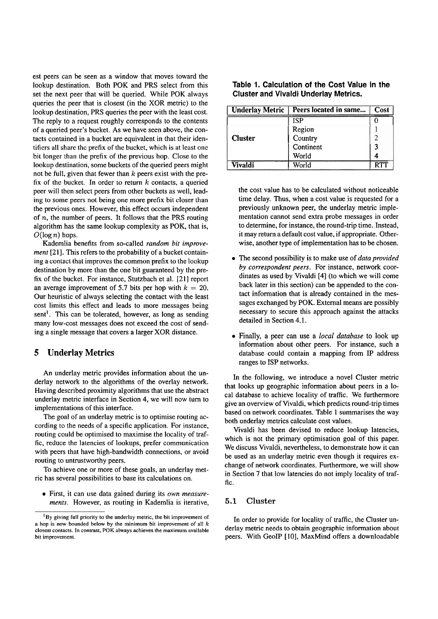est peers can be seen as a window that moves toward the lookup destination. Both POK and PRS select from this set the next peer that will be queried. While POK always queries the Peer that is closest (in the XOR metric) to the lookup destination, PRS queries the peer with the least cost. The reply to a request roughly corresponds to the contents of a queried peer's bucket. As we have seen above, the contacts contained in a bucket are equivalent in that their identifiers all share thc prefix of the bucket, which is at least onc bit longer than the prefix of the previous hop. Close to the lookup destination, some buckets of the queried peers might not be full, given that fewer than *k* peers exist with the prefix of the bucket. In order to return *k* contacts, a queried peer will then select peers from other buckets as well, leading to some peers not being one more prefix bit closer than the previous ones. However, this effect occurs independent of  $n$ , the number of peers. It follows that the PRS routing algorithm has the same lookup complexity as POK, that is,  $O(\log n)$  hops.

Kadernlia benefits from so-called *random bit improvement* **[21].** This refers to the probability of a bucket containing a contact that improves the common prefix to the lookup destination by more than the one bit guaranteed by the prefix of the bucket. For instance, Stutzbach et al. [21] report an average improvement of 5.7 bits per hop with  $k = 20$ . Our heuristic of always selecting the contact with the least cost limits this effect and leads to more messages being sent<sup>1</sup>. This can be tolerated, however, as long as sending many low-cost messages does not exceed the cost of sending a single message that Covers a larger XOR distance.

## **5 Underlay Metrics**

An underlay metric provides information about the underlay network to the algorithms of the overlay network. Having described proximity algorithms that use the abstract underlay metric interface in Section 4, we will now turn to implernentations of this interface.

The goal of an underlay metric is to optimise routing according to the needs of a specific application. For instance, routing could be optimised to maximise the locality of traffic, reduce the latencies of lookups, prefer communication with peers that have high-bandwidth connections, or avoid routing to untrustworthy peers.

To achieve one or more of these goals, an underlay metric has several possibilities to base its calculations on.

First, it can use data gained dunng its *own measurements.* However, as routing in Kademlia is iterative,

| <b>Underlay Metric</b> | Peers located in same | Cost |
|------------------------|-----------------------|------|
| <b>Cluster</b>         | ISP                   |      |
|                        |                       |      |
|                        | Region<br>Country     |      |
|                        | Continent             |      |
|                        | World                 |      |
| Vivaldi                | World                 | RT   |

#### **Table 1. Calculation of the Cost Value in the Cluster and Vivaldi Underlay Metrics.**

the cost value has to be calculated without noticeable time delay. Thus, when a cost value is requested for a previously unknown peer, the underlay metric implementation cannot send extra probe messages in order to determine, for instance, the round-trip time. Instead, it may return a default cost value, if appropriate. Otherwise, another type of implementation has to be chosen.

- The second possibility is to make use of *data provided by correspondent peers.* For instance, network coordinates as used by Vivaldi [4] (to which we will come back later in this section) can be appended to the contact information that is already contained in the messages exchanged by POK. External means are possibly necessary to secure this approach against the attacks detailed in Section 4.1.
- Finally, a Peer can use a *local database* to look up information about other peers. For instance, such a database could contain a mapping from IP address ranges to ISP networks.

In the following, we introduce a novel Cluster metric that looks up geographic information about peers in a local database to achieve locality of traffic. We furthermore give an overview of Vivaldi, which predicts round-trip times based on network coordinates. Table 1 summarises the way both underlay metrics calculate cost values.

Vivaldi has been devised to reduce lookup latencies, which is not the primary optimisation goal of this paper. We discuss Vivaldi, nevertheless, to demonstrate how it can be used as an underlay metric even though it requires exchange of network coordinates. Furthermore, we will show in Section 7 that low latencies do not imply locaiity of traffic.

### **5.1 Cluster**

In order to provide for locality of traffic, the Cluster underlay metric needs to obtain geographic information about peers. With GeoIP **[10],** MaxMind offers a downloadable

<sup>&</sup>lt;sup>1</sup>By giving full priority to the underlay metric, the bit improvement of a hop is now bounded below by the minimum bit improvement of all  $k$ closesi contacts. In contrast, POK always achieves the maximum available bit improvement.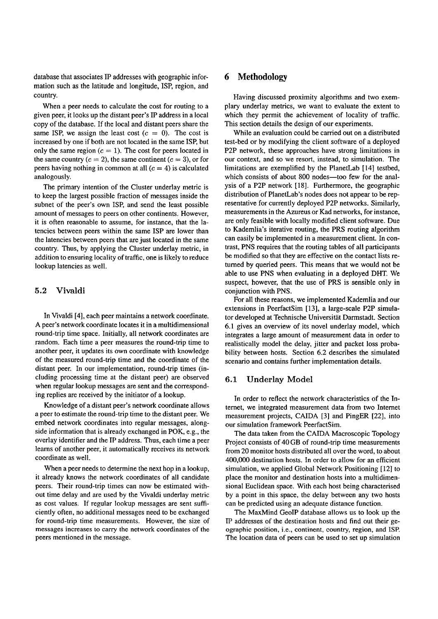database that associates IP addresses with geographic information such as the latitude and longitude, ISP, region, and country.

When a peer needs to calculate the cost for routing to a given peer, it looks up the distant peer's IP address in a local copy of the database. If the local and distant peers share the same ISP, we assign the least cost  $(c = 0)$ . The cost is increased by one if both are not located in the same ISP, but only the same region  $(c = 1)$ . The cost for peers located in the same country  $(c = 2)$ , the same continent  $(c = 3)$ , or for peers having nothing in common at all  $(c = 4)$  is calculated analogously.

The primary intention of the Cluster underlay metric is to keep the largest possible fraction of messages inside the subnet of the peer's own ISP, and send the least possible amount of messages to peers on other continents. However, it is often reasonable to assume, for instance, that the latencies between peers within the same ISP are lower than the latencies between peers that are just located in the same country. Thus, by applying the Cluster underlay metric, in addition to ensuring locality of traffic, one is likely to reduce lookup latencies as well.

### **5.2 Vivaldi**

In Vivaldi [4], each peer maintains a network coordinate. A peer's network coordinate locates it in a multidimensional round-trip time space. Initially, all network coordinates are random. Each time a peer measures the round-trip time to another peer, it updates its own coordinate with knowledge of the measured round-trip time and the coordinate of the distant peer. In our implementation, round-trip times (including processing time at the distant peer) are observed when regular lookup messages are sent and the corresponding replies are received by the initiator of a lookup.

Knowledge of a distant peer's network coordinate allows a peer to estimate the round-trip time to the distant peer. We embed network coordinates into regular messages, alongside information that is already exchanged in POK, e.g., the overlay identifier and the IP address. Thus, each time a peer learns of another peer, it automatically receives its network coordinate as well.

When a peer needs to determine the next hop in a lookup, it already knows the network coordinates of all candidate peers. Their round-trip times can now be estimated without time delay and are used by the Vivaldi underlay metric as cost values. If regular lookup messages are sent sufficiently often, no additional messages need to be exchanged for round-trip time measurements. However, the size of messages increases to carry the network coordinates of the peers mentioned in the message.

## **6 Methodology**

Having discussed proximity algorithms and two exemplary underlay metrics, we Want to evaluate the extent to which they permit the achievement of locality of traffic. This section details the design of our experiments.

While an evaluation could be carried out on a distributed test-bed or by modifying the client software of a deployed P2P network, these approaches have strong limitations in our context, and so we resort, instead, to simulation. The Iimitations are exemplified by the PlanetLab [I41 testbed, which consists of about 800 nodes-too few for the analysis of a P2P network [18]. Furthermore, the geographic distribution of PlanetLab's nodes does not appear to be representative for currently deployed P2P networks. Similarly, measurements in the Azureus or Kad networks, for instance, are only feasible with locally modified client software. Due to Kademlia's iterative routing, the PRS routing algorithm can easily be implemented in a measurement client. In contrast, PNS requires that the routing tables of all participants be modified so that they are effective on the contact lists retumed by queried peers. This means that we would not be able to use PNS when evaluating in a deployed DHT. We suspect, however, that the use of PRS is sensible only in conjunction with PNS.

For all these reasons, we implemented Kademlia and our extensions in PeerfactSim [13], a large-scale P2P simulator developed at Technische Universität Darmstadt. Section 6.1 gives an overview of its novel underlay model, which integrates a large amount of measurement data in order to realistically model the delay, jitter and packet loss probability between hosts. Section 6.2 describes the simulated scenario and contains further implementation details.

#### **6.1 Underlay Model**

In order to reflect the network characteristics of the Internet, we integrated measurement data from two Intemet measurement projects, CAIDA [3] and PingER [22], into our simulation framework PeerfactSim.

The data taken from the CAIDA Macroscopic Topology Project consists of 40 GB of round-trip time measurements from 20 monitor hosts distributed all over the word, to about 400,000 destination hosts. In order to allow for an efficient simulation, we applied Global Network Positioning [12] to place the monitor and destination hosts into a multidimensional Euclidean space. With each host being characterised by a point in this space, the delay between any two hosts can be predicted using an adequate distance function.

The MaxMind GeoIP database allows us to look up the **IP** addresses of the destination hosts and find out their geographic position, i.e., continent, country, region, and ISP. The location data of peers can be used to set up simulation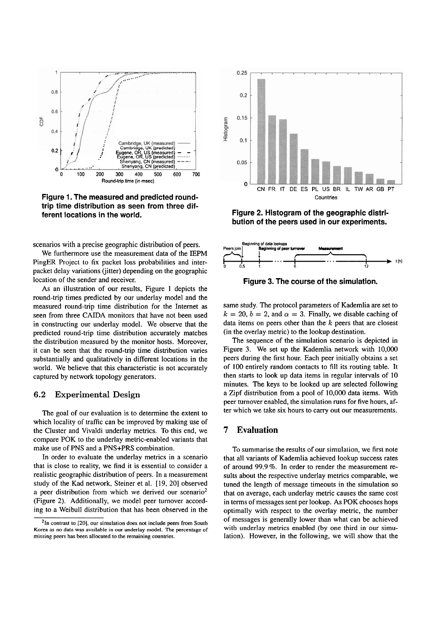

**Figure 1. The measured and predicted roundtrip time distribution as seen from three different locations in the world.** 

scenarios with a precise geographic distribution of peers.

We furthermore use the measurement data of the IEPM PingER Project to fix packet loss probabilities and interpacket delay variations (jitter) depending on the geographic location of the sender and receiver.

As an illustration of our results, Figure 1 depicts the round-trip times predicted by our underlay model and the measured round-trip time distribution for the Intemet as seen from three CAIDA monitors that have not been used in constructing our underlay model. We observe that the predicted round-trip time distribution accurately matches the distribution measured by the monitor hosts. Moreover, it can be seen that the round-trip time distribution varies substantially and qualitatively in different locations in the world. We believe that this characteristic is not accurately captured by network topology generators.

### **6.2 Experimental Design**

The goal of our evaluation is to determine the extent to which locality of traffic can be improved by making use of the Cluster and Vivaldi underlay metrics. To this end, we compare POK to the underlay metric-enabled variants that make use of PNS and a PNS+PRS combination.

In order to evaluate the underlay metrics in a scenario that is close to reality, we find it is essential to consider a realistic geographic distribution of peers. In a measurement study of the Kad network, Steiner et al. [19, 201 observed a peer distribution from which we derived our scenario<sup>2</sup> (Figure 2). Additionally, we model peer turnover according to a Weibull distribution that has been observed in the



**Figure 2. Histogram of the geographic distribution of the peers used in our experiments.** 



**Figure 3. The Course of the simulation.** 

same study. The protocol parameters of Kademlia are set to  $k = 20$ ,  $b = 2$ , and  $\alpha = 3$ . Finally, we disable caching of data items on peers other than the  $k$  peers that are closest (in the overlay metric) to the lookup destination.

The sequence of the simulation scenario is depicted in Figure **3.** We set up the Kademlia network with 10,000 peers during the first hour. Each peer initially obtains a set of 100 entirely random contacts to fill its routing table. It then starts to look up data items in regular intervals of 10 minutes. The keys to be looked up are selected following a Zipf distribution from a pool of 10,000 data items. With peer turnover enabled, the simulation runs for five hours, after which we take six hours to cany out our measurements.

## **7 Evaluation**

To summarise the results of our simulaiion, we first note that all variants of Kademlia achieved lookup success rates of around 99.9%. In order to render the measurement results about the respective underlay metrics comparable, we tuned the length of message timeouts in the simulation so that on average, each underlay metric causes the Same cost in terms of messages sent per lookup. As POK chooses hops optimally with respect to the overlay metric, the number of messages is generally lower than what can be achieved with underlay metrics enabled (by one third in our simulation). However, in the following, we will show that the

**<sup>&#</sup>x27;1n contrast to** [201, **our simulation does not include peers from South Korea as no data was available in our underlay model. The percentage of missing peers has been allocated to the remaining countries.**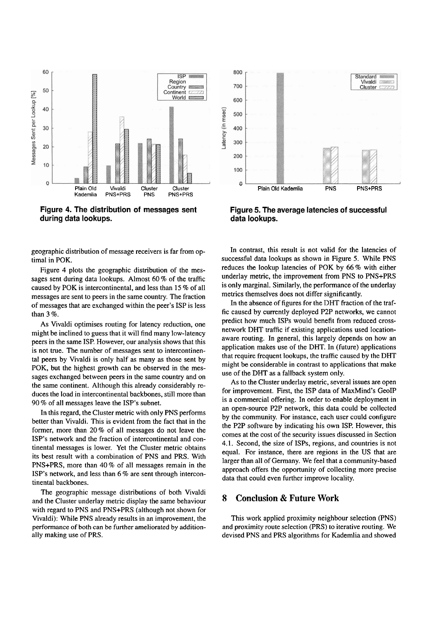

**during data lookups. data lookups.** 

geographic distribution of message receivers is far from optimal in POK.

Figure 4 plots the geographic distribution of the messages sent during data lookups. Almost 60 % of the traffic caused by POK is intercontinental, and less than 15 % of all messages are sent to peers in the same country. The fraction of messages that are exchanged within the peer's ISP is less than **3** %.

As Vivaldi optimises routing for latency reduction, one might be inclined to guess that it will find many low-latency peers in the same ISP. However, our analysis shows that this is not true. The number of messages sent to intercontinental peers by Vivaldi is only half as many as those sent by POK, but the highest growth can be observed in the messages exchanged between peers in the same country and on the Same continent. Although this already considerably reduces the load in intercontinental backbones, still more than 90 % of all messages leave the ISP's subnet.

In this regard, the Cluster metric with only PNS performs better than Vivaldi. This is evident from the fact that in the former, more than 20% of all messages do not leave the ISP's network and the fraction of intercontinental and continental messages is lower. Yet the Cluster metric obtains its best result with a combination of PNS and PRS. With PNS+PRS, more than 40 % of all messages remain in the ISP's network, and less than 6 % are sent through intercontinental backbones.

The geographic message distributions of both Vivaldi and the Cluster underlay metric display the same behaviour with regard to PNS and PNS+PRS (although not shown for Vivaldi): While PNS already results in an improvement, the performance of both can be further ameliorated by additionally making use of PRS.



Figure 4. The distribution of messages sent Figure 5. The average latencies of successful

In contrast, this result is not valid for the latencies of successful data lookups as shown in Figure *5.* While PNS reduces the lookup latencies of POK by 66 % with either underlay metric, the improvement from PNS to PNS+PRS is only marginal. Similarly, the performance of the underlay metrics themselves does not differ significantly.

In the absence of figures for the DHT fraction of the traffic caused by currently deployed P2P networks, we cannot predict how much ISPs would benefit from reduced crossnetwork DHT traffic if existing applications used locationaware routing. In general, this largely depends on how an application makes use of the DHT. In (future) applications that require frequent lookups, the traffic caused by the DHT might be considerable in contrast to applications that make use of the DHT as a fallback system only.

As to the Cluster underlay metric, several issues are open for improvement. First, the ISP data of MaxMind's GeolP is a commercial offering. In order to enable deployment in an open-source P2P network, this data could be collected by the community. For instance, each User could configure the P2P software by indicating his own ISP. However, this Comes at the cost of the security issues discussed in Section 4.1. Second, the size of ISPs, regions, and countries is not equal. For instance, there are regions in the US that are larger than all of Germany. We feel that a community-based approach offers the opportunity of collecting more precise data that could even further improve locality.

## **8 Conclusion** & **Future Work**

This work applied proximity neighbour selection (PNS) and proximity route selection (PRS) to iterative routing. We devised PNS and PRS algorithms for Kademlia and showed